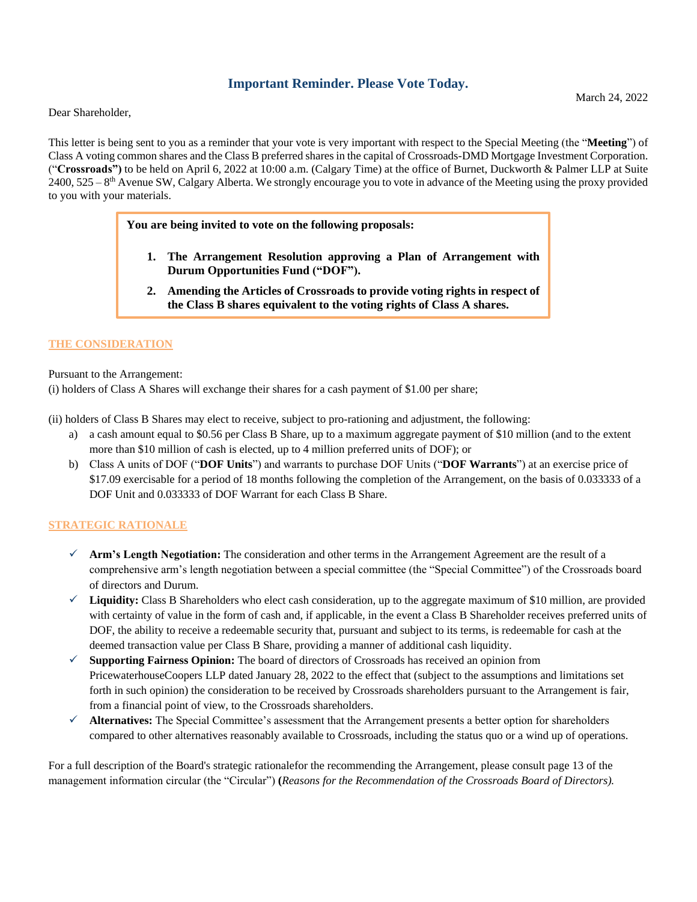# **Important Reminder. Please Vote Today.**

Dear Shareholder,

This letter is being sent to you as a reminder that your vote is very important with respect to the Special Meeting (the "**Meeting**") of Class A voting common shares and the Class B preferred shares in the capital of Crossroads-DMD Mortgage Investment Corporation. ("**Crossroads")** to be held on April 6, 2022 at 10:00 a.m. (Calgary Time) at the office of Burnet, Duckworth & Palmer LLP at Suite  $2400, 525 - 8$ <sup>th</sup> Avenue SW, Calgary Alberta. We strongly encourage you to vote in advance of the Meeting using the proxy provided to you with your materials.

**You are being invited to vote on the following proposals:**

- **1. The Arrangement Resolution approving a Plan of Arrangement with Durum Opportunities Fund ("DOF").**
- **2. Amending the Articles of Crossroads to provide voting rights in respect of the Class B shares equivalent to the voting rights of Class A shares.**

## **THE CONSIDERATION**

Pursuant to the Arrangement:

(i) holders of Class A Shares will exchange their shares for a cash payment of \$1.00 per share;

(ii) holders of Class B Shares may elect to receive, subject to pro-rationing and adjustment, the following:

- a) a cash amount equal to \$0.56 per Class B Share, up to a maximum aggregate payment of \$10 million (and to the extent more than \$10 million of cash is elected, up to 4 million preferred units of DOF); or
- b) Class A units of DOF ("**DOF Units**") and warrants to purchase DOF Units ("**DOF Warrants**") at an exercise price of \$17.09 exercisable for a period of 18 months following the completion of the Arrangement, on the basis of 0.033333 of a DOF Unit and 0.033333 of DOF Warrant for each Class B Share.

## **STRATEGIC RATIONALE**

- **Arm's Length Negotiation:** The consideration and other terms in the Arrangement Agreement are the result of a comprehensive arm's length negotiation between a special committee (the "Special Committee") of the Crossroads board of directors and Durum.
- **Liquidity:** Class B Shareholders who elect cash consideration, up to the aggregate maximum of \$10 million, are provided with certainty of value in the form of cash and, if applicable, in the event a Class B Shareholder receives preferred units of DOF, the ability to receive a redeemable security that, pursuant and subject to its terms, is redeemable for cash at the deemed transaction value per Class B Share, providing a manner of additional cash liquidity.
- **Supporting Fairness Opinion:** The board of directors of Crossroads has received an opinion from PricewaterhouseCoopers LLP dated January 28, 2022 to the effect that (subject to the assumptions and limitations set forth in such opinion) the consideration to be received by Crossroads shareholders pursuant to the Arrangement is fair, from a financial point of view, to the Crossroads shareholders.
- **Alternatives:** The Special Committee's assessment that the Arrangement presents a better option for shareholders compared to other alternatives reasonably available to Crossroads, including the status quo or a wind up of operations.

For a full description of the Board's strategic rationalefor the recommending the Arrangement, please consult page 13 of the management information circular (the "Circular") **(***Reasons for the Recommendation of the Crossroads Board of Directors).*